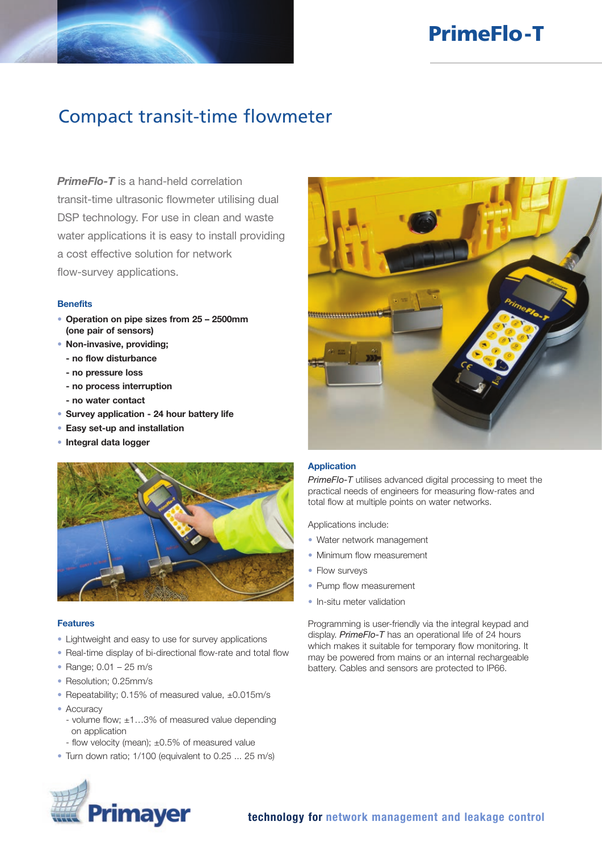# PrimeFlo-T

# Compact transit-time flowmeter

**PrimeFlo-T** is a hand-held correlation transit-time ultrasonic flowmeter utilising dual DSP technology. For use in clean and waste water applications it is easy to install providing a cost effective solution for network flow-survey applications.

#### **Benefits**

- Operation on pipe sizes from 25 2500mm (one pair of sensors)
- Non-invasive, providing;
	- no flow disturbance
	- no pressure loss
	- no process interruption
	- no water contact
- Survey application 24 hour battery life
- Easy set-up and installation
- Integral data logger



## Features

- Lightweight and easy to use for survey applications
- Real-time display of bi-directional flow-rate and total flow
- Range; 0.01 25 m/s
- Resolution; 0.25mm/s
- Repeatability; 0.15% of measured value, ±0.015m/s
- Accuracy
	- volume flow; ±1…3% of measured value depending on application
	- flow velocity (mean); ±0.5% of measured value
- Turn down ratio; 1/100 (equivalent to 0.25 ... 25 m/s)



## Application

*PrimeFlo-T* utilises advanced digital processing to meet the practical needs of engineers for measuring flow-rates and total flow at multiple points on water networks.

Applications include:

- Water network management
- Minimum flow measurement
- Flow surveys
- Pump flow measurement
- In-situ meter validation

Programming is user-friendly via the integral keypad and display. *PrimeFlo-T* has an operational life of 24 hours which makes it suitable for temporary flow monitoring. It may be powered from mains or an internal rechargeable battery. Cables and sensors are protected to IP66.